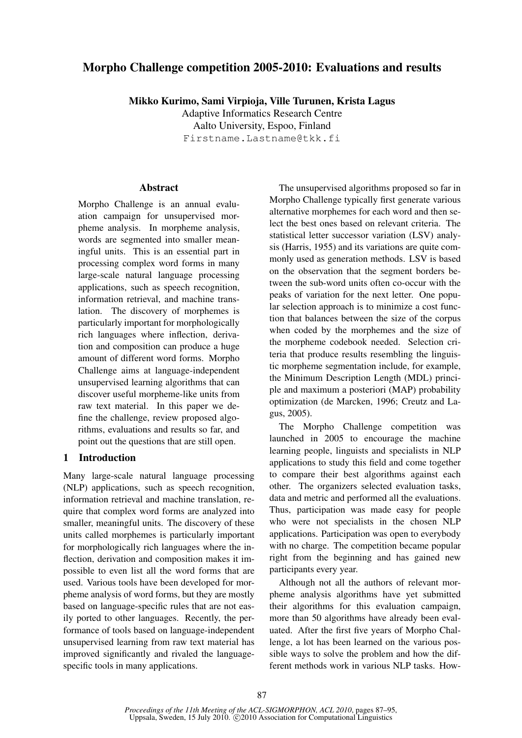# **Morpho Challenge competition 2005-2010: Evaluations and results**

**Mikko Kurimo, Sami Virpioja, Ville Turunen, Krista Lagus**

Adaptive Informatics Research Centre Aalto University, Espoo, Finland Firstname.Lastname@tkk.fi

# **Abstract**

Morpho Challenge is an annual evaluation campaign for unsupervised morpheme analysis. In morpheme analysis, words are segmented into smaller meaningful units. This is an essential part in processing complex word forms in many large-scale natural language processing applications, such as speech recognition, information retrieval, and machine translation. The discovery of morphemes is particularly important for morphologically rich languages where inflection, derivation and composition can produce a huge amount of different word forms. Morpho Challenge aims at language-independent unsupervised learning algorithms that can discover useful morpheme-like units from raw text material. In this paper we define the challenge, review proposed algorithms, evaluations and results so far, and point out the questions that are still open.

# **1 Introduction**

Many large-scale natural language processing (NLP) applications, such as speech recognition, information retrieval and machine translation, require that complex word forms are analyzed into smaller, meaningful units. The discovery of these units called morphemes is particularly important for morphologically rich languages where the inflection, derivation and composition makes it impossible to even list all the word forms that are used. Various tools have been developed for morpheme analysis of word forms, but they are mostly based on language-specific rules that are not easily ported to other languages. Recently, the performance of tools based on language-independent unsupervised learning from raw text material has improved significantly and rivaled the languagespecific tools in many applications.

The unsupervised algorithms proposed so far in Morpho Challenge typically first generate various alternative morphemes for each word and then select the best ones based on relevant criteria. The statistical letter successor variation (LSV) analysis (Harris, 1955) and its variations are quite commonly used as generation methods. LSV is based on the observation that the segment borders between the sub-word units often co-occur with the peaks of variation for the next letter. One popular selection approach is to minimize a cost function that balances between the size of the corpus when coded by the morphemes and the size of the morpheme codebook needed. Selection criteria that produce results resembling the linguistic morpheme segmentation include, for example, the Minimum Description Length (MDL) principle and maximum a posteriori (MAP) probability optimization (de Marcken, 1996; Creutz and Lagus, 2005).

The Morpho Challenge competition was launched in 2005 to encourage the machine learning people, linguists and specialists in NLP applications to study this field and come together to compare their best algorithms against each other. The organizers selected evaluation tasks, data and metric and performed all the evaluations. Thus, participation was made easy for people who were not specialists in the chosen NLP applications. Participation was open to everybody with no charge. The competition became popular right from the beginning and has gained new participants every year.

Although not all the authors of relevant morpheme analysis algorithms have yet submitted their algorithms for this evaluation campaign, more than 50 algorithms have already been evaluated. After the first five years of Morpho Challenge, a lot has been learned on the various possible ways to solve the problem and how the different methods work in various NLP tasks. How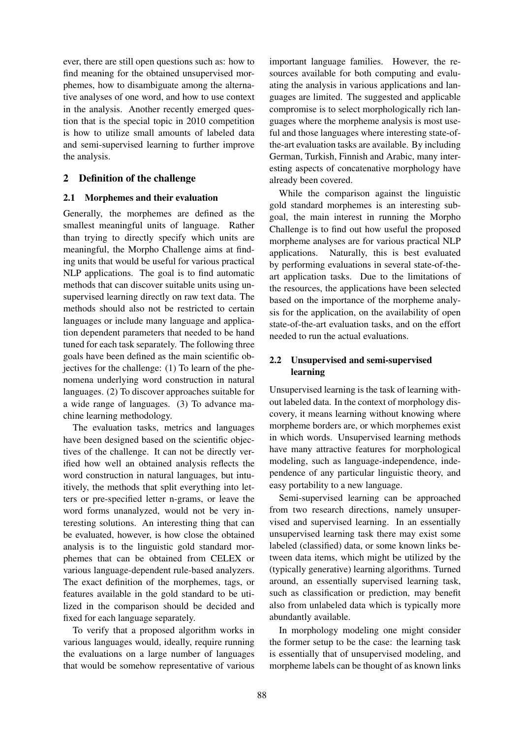ever, there are still open questions such as: how to find meaning for the obtained unsupervised morphemes, how to disambiguate among the alternative analyses of one word, and how to use context in the analysis. Another recently emerged question that is the special topic in 2010 competition is how to utilize small amounts of labeled data and semi-supervised learning to further improve the analysis.

## **2 Definition of the challenge**

### **2.1 Morphemes and their evaluation**

Generally, the morphemes are defined as the smallest meaningful units of language. Rather than trying to directly specify which units are meaningful, the Morpho Challenge aims at finding units that would be useful for various practical NLP applications. The goal is to find automatic methods that can discover suitable units using unsupervised learning directly on raw text data. The methods should also not be restricted to certain languages or include many language and application dependent parameters that needed to be hand tuned for each task separately. The following three goals have been defined as the main scientific objectives for the challenge: (1) To learn of the phenomena underlying word construction in natural languages. (2) To discover approaches suitable for a wide range of languages. (3) To advance machine learning methodology.

The evaluation tasks, metrics and languages have been designed based on the scientific objectives of the challenge. It can not be directly verified how well an obtained analysis reflects the word construction in natural languages, but intuitively, the methods that split everything into letters or pre-specified letter n-grams, or leave the word forms unanalyzed, would not be very interesting solutions. An interesting thing that can be evaluated, however, is how close the obtained analysis is to the linguistic gold standard morphemes that can be obtained from CELEX or various language-dependent rule-based analyzers. The exact definition of the morphemes, tags, or features available in the gold standard to be utilized in the comparison should be decided and fixed for each language separately.

To verify that a proposed algorithm works in various languages would, ideally, require running the evaluations on a large number of languages that would be somehow representative of various important language families. However, the resources available for both computing and evaluating the analysis in various applications and languages are limited. The suggested and applicable compromise is to select morphologically rich languages where the morpheme analysis is most useful and those languages where interesting state-ofthe-art evaluation tasks are available. By including German, Turkish, Finnish and Arabic, many interesting aspects of concatenative morphology have already been covered.

While the comparison against the linguistic gold standard morphemes is an interesting subgoal, the main interest in running the Morpho Challenge is to find out how useful the proposed morpheme analyses are for various practical NLP applications. Naturally, this is best evaluated by performing evaluations in several state-of-theart application tasks. Due to the limitations of the resources, the applications have been selected based on the importance of the morpheme analysis for the application, on the availability of open state-of-the-art evaluation tasks, and on the effort needed to run the actual evaluations.

# **2.2 Unsupervised and semi-supervised learning**

Unsupervised learning is the task of learning without labeled data. In the context of morphology discovery, it means learning without knowing where morpheme borders are, or which morphemes exist in which words. Unsupervised learning methods have many attractive features for morphological modeling, such as language-independence, independence of any particular linguistic theory, and easy portability to a new language.

Semi-supervised learning can be approached from two research directions, namely unsupervised and supervised learning. In an essentially unsupervised learning task there may exist some labeled (classified) data, or some known links between data items, which might be utilized by the (typically generative) learning algorithms. Turned around, an essentially supervised learning task, such as classification or prediction, may benefit also from unlabeled data which is typically more abundantly available.

In morphology modeling one might consider the former setup to be the case: the learning task is essentially that of unsupervised modeling, and morpheme labels can be thought of as known links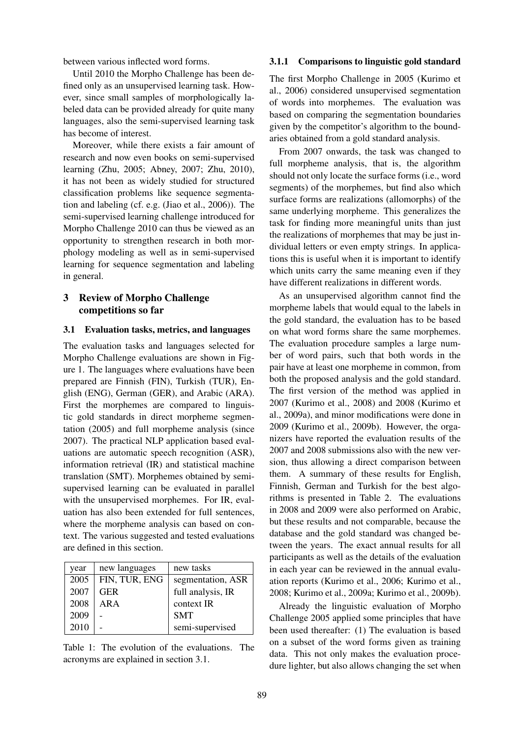between various inflected word forms.

Until 2010 the Morpho Challenge has been defined only as an unsupervised learning task. However, since small samples of morphologically labeled data can be provided already for quite many languages, also the semi-supervised learning task has become of interest.

Moreover, while there exists a fair amount of research and now even books on semi-supervised learning (Zhu, 2005; Abney, 2007; Zhu, 2010), it has not been as widely studied for structured classification problems like sequence segmentation and labeling (cf. e.g. (Jiao et al., 2006)). The semi-supervised learning challenge introduced for Morpho Challenge 2010 can thus be viewed as an opportunity to strengthen research in both morphology modeling as well as in semi-supervised learning for sequence segmentation and labeling in general.

### **3 Review of Morpho Challenge competitions so far**

#### **3.1 Evaluation tasks, metrics, and languages**

The evaluation tasks and languages selected for Morpho Challenge evaluations are shown in Figure 1. The languages where evaluations have been prepared are Finnish (FIN), Turkish (TUR), English (ENG), German (GER), and Arabic (ARA). First the morphemes are compared to linguistic gold standards in direct morpheme segmentation (2005) and full morpheme analysis (since 2007). The practical NLP application based evaluations are automatic speech recognition (ASR), information retrieval (IR) and statistical machine translation (SMT). Morphemes obtained by semisupervised learning can be evaluated in parallel with the unsupervised morphemes. For IR, evaluation has also been extended for full sentences, where the morpheme analysis can based on context. The various suggested and tested evaluations are defined in this section.

| year | new languages | new tasks         |
|------|---------------|-------------------|
| 2005 | FIN, TUR, ENG | segmentation, ASR |
| 2007 | GER           | full analysis, IR |
| 2008 | ARA           | context IR        |
| 2009 |               | <b>SMT</b>        |
| 2010 |               | semi-supervised   |

Table 1: The evolution of the evaluations. The acronyms are explained in section 3.1.

#### **3.1.1 Comparisons to linguistic gold standard**

The first Morpho Challenge in 2005 (Kurimo et al., 2006) considered unsupervised segmentation of words into morphemes. The evaluation was based on comparing the segmentation boundaries given by the competitor's algorithm to the boundaries obtained from a gold standard analysis.

From 2007 onwards, the task was changed to full morpheme analysis, that is, the algorithm should not only locate the surface forms (i.e., word segments) of the morphemes, but find also which surface forms are realizations (allomorphs) of the same underlying morpheme. This generalizes the task for finding more meaningful units than just the realizations of morphemes that may be just individual letters or even empty strings. In applications this is useful when it is important to identify which units carry the same meaning even if they have different realizations in different words.

As an unsupervised algorithm cannot find the morpheme labels that would equal to the labels in the gold standard, the evaluation has to be based on what word forms share the same morphemes. The evaluation procedure samples a large number of word pairs, such that both words in the pair have at least one morpheme in common, from both the proposed analysis and the gold standard. The first version of the method was applied in 2007 (Kurimo et al., 2008) and 2008 (Kurimo et al., 2009a), and minor modifications were done in 2009 (Kurimo et al., 2009b). However, the organizers have reported the evaluation results of the 2007 and 2008 submissions also with the new version, thus allowing a direct comparison between them. A summary of these results for English, Finnish, German and Turkish for the best algorithms is presented in Table 2. The evaluations in 2008 and 2009 were also performed on Arabic, but these results and not comparable, because the database and the gold standard was changed between the years. The exact annual results for all participants as well as the details of the evaluation in each year can be reviewed in the annual evaluation reports (Kurimo et al., 2006; Kurimo et al., 2008; Kurimo et al., 2009a; Kurimo et al., 2009b).

Already the linguistic evaluation of Morpho Challenge 2005 applied some principles that have been used thereafter: (1) The evaluation is based on a subset of the word forms given as training data. This not only makes the evaluation procedure lighter, but also allows changing the set when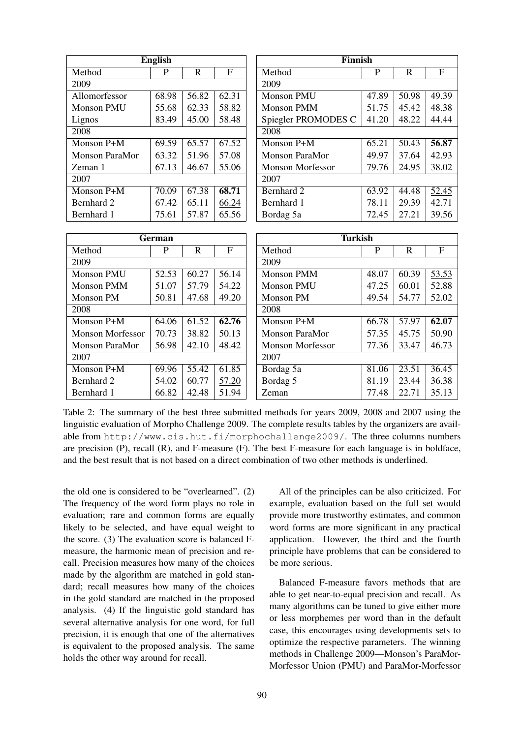| <b>English</b>          |                |                    |                |
|-------------------------|----------------|--------------------|----------------|
| Method                  | $\overline{P}$ | $\overline{R}$     | $\overline{F}$ |
| 2009                    |                |                    |                |
| Allomorfessor           | 68.98          | 56.82              | 62.31          |
| Monson PMU              | 55.68          | 62.33              | 58.82          |
| Lignos                  | 83.49          | 45.00              | 58.48          |
| 2008                    |                |                    |                |
| Monson P+M              | 69.59          | 65.57              | 67.52          |
| Monson ParaMor          | 63.32          | 51.96              | 57.08          |
| Zeman 1                 | 67.13          | 46.67              | 55.06          |
| 2007                    |                |                    |                |
| Monson $\overline{P+M}$ | 70.09          | 67.38              | 68.71          |
| Bernhard 2              | 67.42          | 65.11              | 66.24          |
| Bernhard 1              | 75.61          | 57.87              | 65.56          |
|                         |                |                    |                |
|                         | German         |                    |                |
| Method                  | $\overline{P}$ | $\mathbb{R}$       | $\overline{F}$ |
| 2009                    |                |                    |                |
| Monson PMU              | 52.53          | 60.27              | 56.14          |
| <b>Monson PMM</b>       | 51.07          | 57.79              | 54.22          |
| <b>Monson PM</b>        | 50.81          | 47.68              | 49.20          |
| 2008                    |                |                    |                |
| Monson P+M              | 64.06          | 61.52              | 62.76          |
| <b>Monson Morfessor</b> | 70.73          | 38.82              | 50.13          |
| Monson ParaMor          | 56.98          | 42.10              | 48.42          |
| 2007                    |                |                    |                |
| Monson P+M              | 69.96          | $\overline{55.42}$ | 61.85          |
| Bernhard 2              | 54.02          | 60.77              | 57.20          |
| Bernhard 1              | 66.82          | 42.48              | 51.94          |

Table 2: The summary of the best three submitted methods for years 2009, 2008 and 2007 using the linguistic evaluation of Morpho Challenge 2009. The complete results tables by the organizers are available from http://www.cis.hut.fi/morphochallenge2009/. The three columns numbers are precision (P), recall (R), and F-measure (F). The best F-measure for each language is in boldface, and the best result that is not based on a direct combination of two other methods is underlined.

the old one is considered to be "overlearned". (2) The frequency of the word form plays no role in evaluation; rare and common forms are equally likely to be selected, and have equal weight to the score. (3) The evaluation score is balanced Fmeasure, the harmonic mean of precision and recall. Precision measures how many of the choices made by the algorithm are matched in gold standard; recall measures how many of the choices in the gold standard are matched in the proposed analysis. (4) If the linguistic gold standard has several alternative analysis for one word, for full precision, it is enough that one of the alternatives is equivalent to the proposed analysis. The same holds the other way around for recall.

All of the principles can be also criticized. For example, evaluation based on the full set would provide more trustworthy estimates, and common word forms are more significant in any practical application. However, the third and the fourth principle have problems that can be considered to be more serious.

Balanced F-measure favors methods that are able to get near-to-equal precision and recall. As many algorithms can be tuned to give either more or less morphemes per word than in the default case, this encourages using developments sets to optimize the respective parameters. The winning methods in Challenge 2009—Monson's ParaMor-Morfessor Union (PMU) and ParaMor-Morfessor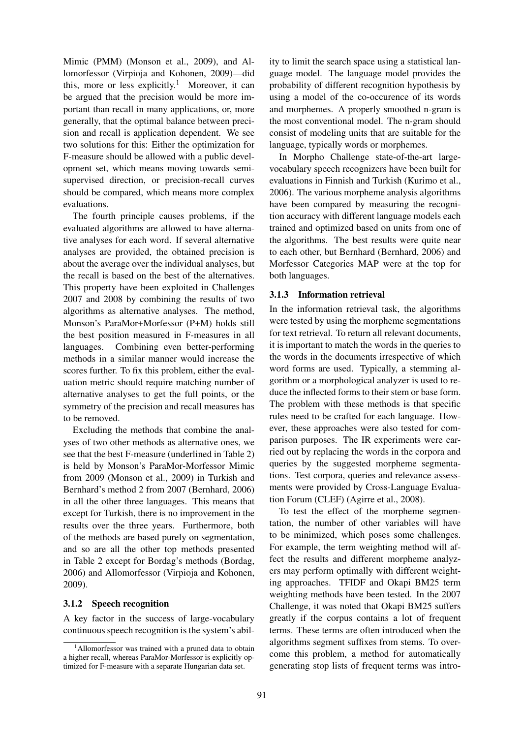Mimic (PMM) (Monson et al., 2009), and Allomorfessor (Virpioja and Kohonen, 2009)—did this, more or less explicitly.<sup>1</sup> Moreover, it can be argued that the precision would be more important than recall in many applications, or, more generally, that the optimal balance between precision and recall is application dependent. We see two solutions for this: Either the optimization for F-measure should be allowed with a public development set, which means moving towards semisupervised direction, or precision-recall curves should be compared, which means more complex evaluations.

The fourth principle causes problems, if the evaluated algorithms are allowed to have alternative analyses for each word. If several alternative analyses are provided, the obtained precision is about the average over the individual analyses, but the recall is based on the best of the alternatives. This property have been exploited in Challenges 2007 and 2008 by combining the results of two algorithms as alternative analyses. The method, Monson's ParaMor+Morfessor (P+M) holds still the best position measured in F-measures in all languages. Combining even better-performing methods in a similar manner would increase the scores further. To fix this problem, either the evaluation metric should require matching number of alternative analyses to get the full points, or the symmetry of the precision and recall measures has to be removed.

Excluding the methods that combine the analyses of two other methods as alternative ones, we see that the best F-measure (underlined in Table 2) is held by Monson's ParaMor-Morfessor Mimic from 2009 (Monson et al., 2009) in Turkish and Bernhard's method 2 from 2007 (Bernhard, 2006) in all the other three languages. This means that except for Turkish, there is no improvement in the results over the three years. Furthermore, both of the methods are based purely on segmentation, and so are all the other top methods presented in Table 2 except for Bordag's methods (Bordag, 2006) and Allomorfessor (Virpioja and Kohonen, 2009).

### **3.1.2 Speech recognition**

A key factor in the success of large-vocabulary continuous speech recognition is the system's ability to limit the search space using a statistical language model. The language model provides the probability of different recognition hypothesis by using a model of the co-occurence of its words and morphemes. A properly smoothed n-gram is the most conventional model. The n-gram should consist of modeling units that are suitable for the language, typically words or morphemes.

In Morpho Challenge state-of-the-art largevocabulary speech recognizers have been built for evaluations in Finnish and Turkish (Kurimo et al., 2006). The various morpheme analysis algorithms have been compared by measuring the recognition accuracy with different language models each trained and optimized based on units from one of the algorithms. The best results were quite near to each other, but Bernhard (Bernhard, 2006) and Morfessor Categories MAP were at the top for both languages.

#### **3.1.3 Information retrieval**

In the information retrieval task, the algorithms were tested by using the morpheme segmentations for text retrieval. To return all relevant documents, it is important to match the words in the queries to the words in the documents irrespective of which word forms are used. Typically, a stemming algorithm or a morphological analyzer is used to reduce the inflected forms to their stem or base form. The problem with these methods is that specific rules need to be crafted for each language. However, these approaches were also tested for comparison purposes. The IR experiments were carried out by replacing the words in the corpora and queries by the suggested morpheme segmentations. Test corpora, queries and relevance assessments were provided by Cross-Language Evaluation Forum (CLEF) (Agirre et al., 2008).

To test the effect of the morpheme segmentation, the number of other variables will have to be minimized, which poses some challenges. For example, the term weighting method will affect the results and different morpheme analyzers may perform optimally with different weighting approaches. TFIDF and Okapi BM25 term weighting methods have been tested. In the 2007 Challenge, it was noted that Okapi BM25 suffers greatly if the corpus contains a lot of frequent terms. These terms are often introduced when the algorithms segment suffixes from stems. To overcome this problem, a method for automatically generating stop lists of frequent terms was intro-

<sup>&</sup>lt;sup>1</sup>Allomorfessor was trained with a pruned data to obtain a higher recall, whereas ParaMor-Morfessor is explicitly optimized for F-measure with a separate Hungarian data set.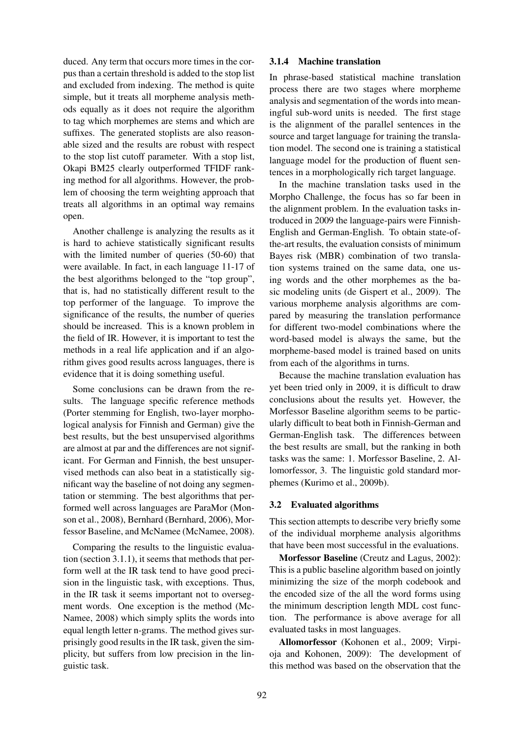duced. Any term that occurs more times in the corpus than a certain threshold is added to the stop list and excluded from indexing. The method is quite simple, but it treats all morpheme analysis methods equally as it does not require the algorithm to tag which morphemes are stems and which are suffixes. The generated stoplists are also reasonable sized and the results are robust with respect to the stop list cutoff parameter. With a stop list, Okapi BM25 clearly outperformed TFIDF ranking method for all algorithms. However, the problem of choosing the term weighting approach that treats all algorithms in an optimal way remains open.

Another challenge is analyzing the results as it is hard to achieve statistically significant results with the limited number of queries (50-60) that were available. In fact, in each language 11-17 of the best algorithms belonged to the "top group", that is, had no statistically different result to the top performer of the language. To improve the significance of the results, the number of queries should be increased. This is a known problem in the field of IR. However, it is important to test the methods in a real life application and if an algorithm gives good results across languages, there is evidence that it is doing something useful.

Some conclusions can be drawn from the results. The language specific reference methods (Porter stemming for English, two-layer morphological analysis for Finnish and German) give the best results, but the best unsupervised algorithms are almost at par and the differences are not significant. For German and Finnish, the best unsupervised methods can also beat in a statistically significant way the baseline of not doing any segmentation or stemming. The best algorithms that performed well across languages are ParaMor (Monson et al., 2008), Bernhard (Bernhard, 2006), Morfessor Baseline, and McNamee (McNamee, 2008).

Comparing the results to the linguistic evaluation (section 3.1.1), it seems that methods that perform well at the IR task tend to have good precision in the linguistic task, with exceptions. Thus, in the IR task it seems important not to oversegment words. One exception is the method (Mc-Namee, 2008) which simply splits the words into equal length letter n-grams. The method gives surprisingly good results in the IR task, given the simplicity, but suffers from low precision in the linguistic task.

### **3.1.4 Machine translation**

In phrase-based statistical machine translation process there are two stages where morpheme analysis and segmentation of the words into meaningful sub-word units is needed. The first stage is the alignment of the parallel sentences in the source and target language for training the translation model. The second one is training a statistical language model for the production of fluent sentences in a morphologically rich target language.

In the machine translation tasks used in the Morpho Challenge, the focus has so far been in the alignment problem. In the evaluation tasks introduced in 2009 the language-pairs were Finnish-English and German-English. To obtain state-ofthe-art results, the evaluation consists of minimum Bayes risk (MBR) combination of two translation systems trained on the same data, one using words and the other morphemes as the basic modeling units (de Gispert et al., 2009). The various morpheme analysis algorithms are compared by measuring the translation performance for different two-model combinations where the word-based model is always the same, but the morpheme-based model is trained based on units from each of the algorithms in turns.

Because the machine translation evaluation has yet been tried only in 2009, it is difficult to draw conclusions about the results yet. However, the Morfessor Baseline algorithm seems to be particularly difficult to beat both in Finnish-German and German-English task. The differences between the best results are small, but the ranking in both tasks was the same: 1. Morfessor Baseline, 2. Allomorfessor, 3. The linguistic gold standard morphemes (Kurimo et al., 2009b).

#### **3.2 Evaluated algorithms**

This section attempts to describe very briefly some of the individual morpheme analysis algorithms that have been most successful in the evaluations.

**Morfessor Baseline** (Creutz and Lagus, 2002): This is a public baseline algorithm based on jointly minimizing the size of the morph codebook and the encoded size of the all the word forms using the minimum description length MDL cost function. The performance is above average for all evaluated tasks in most languages.

**Allomorfessor** (Kohonen et al., 2009; Virpioja and Kohonen, 2009): The development of this method was based on the observation that the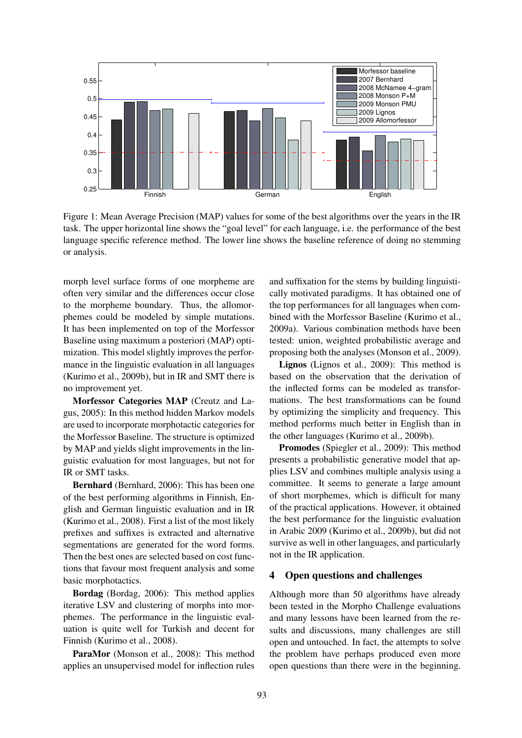

Figure 1: Mean Average Precision (MAP) values for some of the best algorithms over the years in the IR task. The upper horizontal line shows the "goal level" for each language, i.e. the performance of the best language specific reference method. The lower line shows the baseline reference of doing no stemming or analysis.

morph level surface forms of one morpheme are often very similar and the differences occur close to the morpheme boundary. Thus, the allomorphemes could be modeled by simple mutations. It has been implemented on top of the Morfessor Baseline using maximum a posteriori (MAP) optimization. This model slightly improves the performance in the linguistic evaluation in all languages (Kurimo et al., 2009b), but in IR and SMT there is no improvement yet.

**Morfessor Categories MAP** (Creutz and Lagus, 2005): In this method hidden Markov models are used to incorporate morphotactic categories for the Morfessor Baseline. The structure is optimized by MAP and yields slight improvements in the linguistic evaluation for most languages, but not for IR or SMT tasks.

**Bernhard** (Bernhard, 2006): This has been one of the best performing algorithms in Finnish, English and German linguistic evaluation and in IR (Kurimo et al., 2008). First a list of the most likely prefixes and suffixes is extracted and alternative segmentations are generated for the word forms. Then the best ones are selected based on cost functions that favour most frequent analysis and some basic morphotactics.

**Bordag** (Bordag, 2006): This method applies iterative LSV and clustering of morphs into morphemes. The performance in the linguistic evaluation is quite well for Turkish and decent for Finnish (Kurimo et al., 2008).

ParaMor (Monson et al., 2008): This method applies an unsupervised model for inflection rules

and suffixation for the stems by building linguistically motivated paradigms. It has obtained one of the top performances for all languages when combined with the Morfessor Baseline (Kurimo et al., 2009a). Various combination methods have been tested: union, weighted probabilistic average and proposing both the analyses (Monson et al., 2009).

**Lignos** (Lignos et al., 2009): This method is based on the observation that the derivation of the inflected forms can be modeled as transformations. The best transformations can be found by optimizing the simplicity and frequency. This method performs much better in English than in the other languages (Kurimo et al., 2009b).

**Promodes** (Spiegler et al., 2009): This method presents a probabilistic generative model that applies LSV and combines multiple analysis using a committee. It seems to generate a large amount of short morphemes, which is difficult for many of the practical applications. However, it obtained the best performance for the linguistic evaluation in Arabic 2009 (Kurimo et al., 2009b), but did not survive as well in other languages, and particularly not in the IR application.

### **4 Open questions and challenges**

Although more than 50 algorithms have already been tested in the Morpho Challenge evaluations and many lessons have been learned from the results and discussions, many challenges are still open and untouched. In fact, the attempts to solve the problem have perhaps produced even more open questions than there were in the beginning.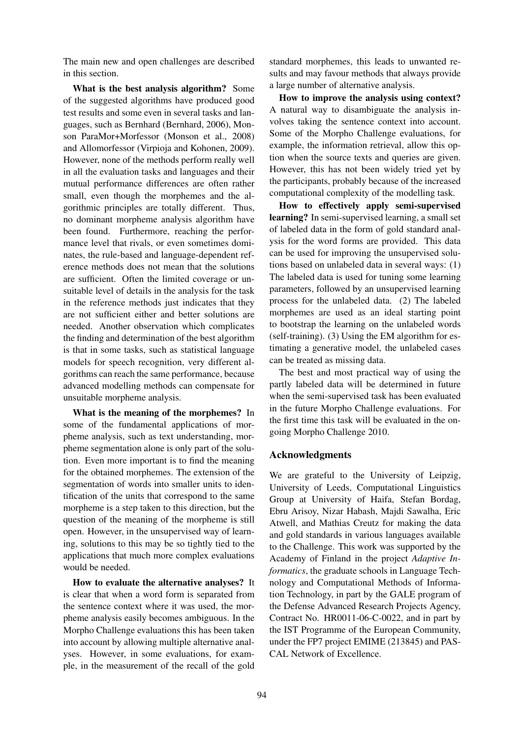The main new and open challenges are described in this section.

**What is the best analysis algorithm?** Some of the suggested algorithms have produced good test results and some even in several tasks and languages, such as Bernhard (Bernhard, 2006), Monson ParaMor+Morfessor (Monson et al., 2008) and Allomorfessor (Virpioja and Kohonen, 2009). However, none of the methods perform really well in all the evaluation tasks and languages and their mutual performance differences are often rather small, even though the morphemes and the algorithmic principles are totally different. Thus, no dominant morpheme analysis algorithm have been found. Furthermore, reaching the performance level that rivals, or even sometimes dominates, the rule-based and language-dependent reference methods does not mean that the solutions are sufficient. Often the limited coverage or unsuitable level of details in the analysis for the task in the reference methods just indicates that they are not sufficient either and better solutions are needed. Another observation which complicates the finding and determination of the best algorithm is that in some tasks, such as statistical language models for speech recognition, very different algorithms can reach the same performance, because advanced modelling methods can compensate for unsuitable morpheme analysis.

**What is the meaning of the morphemes?** In some of the fundamental applications of morpheme analysis, such as text understanding, morpheme segmentation alone is only part of the solution. Even more important is to find the meaning for the obtained morphemes. The extension of the segmentation of words into smaller units to identification of the units that correspond to the same morpheme is a step taken to this direction, but the question of the meaning of the morpheme is still open. However, in the unsupervised way of learning, solutions to this may be so tightly tied to the applications that much more complex evaluations would be needed.

**How to evaluate the alternative analyses?** It is clear that when a word form is separated from the sentence context where it was used, the morpheme analysis easily becomes ambiguous. In the Morpho Challenge evaluations this has been taken into account by allowing multiple alternative analyses. However, in some evaluations, for example, in the measurement of the recall of the gold standard morphemes, this leads to unwanted results and may favour methods that always provide a large number of alternative analysis.

**How to improve the analysis using context?** A natural way to disambiguate the analysis involves taking the sentence context into account. Some of the Morpho Challenge evaluations, for example, the information retrieval, allow this option when the source texts and queries are given. However, this has not been widely tried yet by the participants, probably because of the increased computational complexity of the modelling task.

**How to effectively apply semi-supervised learning?** In semi-supervised learning, a small set of labeled data in the form of gold standard analysis for the word forms are provided. This data can be used for improving the unsupervised solutions based on unlabeled data in several ways: (1) The labeled data is used for tuning some learning parameters, followed by an unsupervised learning process for the unlabeled data. (2) The labeled morphemes are used as an ideal starting point to bootstrap the learning on the unlabeled words (self-training). (3) Using the EM algorithm for estimating a generative model, the unlabeled cases can be treated as missing data.

The best and most practical way of using the partly labeled data will be determined in future when the semi-supervised task has been evaluated in the future Morpho Challenge evaluations. For the first time this task will be evaluated in the ongoing Morpho Challenge 2010.

## **Acknowledgments**

We are grateful to the University of Leipzig, University of Leeds, Computational Linguistics Group at University of Haifa, Stefan Bordag, Ebru Arisoy, Nizar Habash, Majdi Sawalha, Eric Atwell, and Mathias Creutz for making the data and gold standards in various languages available to the Challenge. This work was supported by the Academy of Finland in the project *Adaptive Informatics*, the graduate schools in Language Technology and Computational Methods of Information Technology, in part by the GALE program of the Defense Advanced Research Projects Agency, Contract No. HR0011-06-C-0022, and in part by the IST Programme of the European Community, under the FP7 project EMIME (213845) and PAS-CAL Network of Excellence.